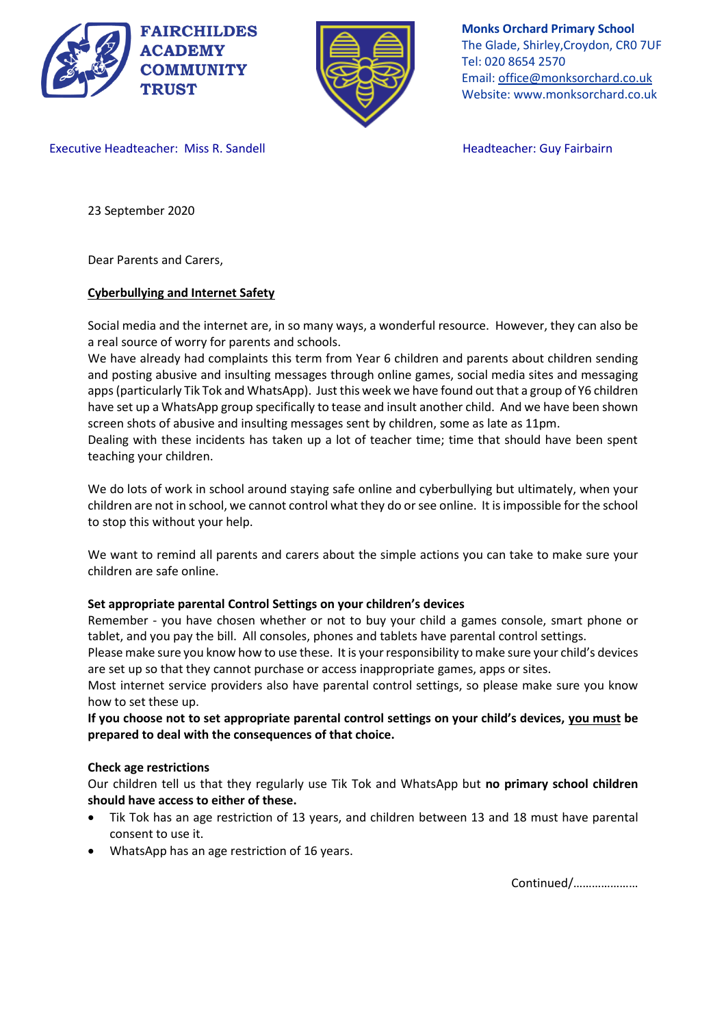



**Monks Orchard Primary School** The Glade, Shirley,Croydon, CR0 7UF Tel: 020 8654 2570 Email: office@monksorchard.co.uk Website: www.monksorchard.co.uk

Executive Headteacher: Miss R. Sandell **Headteacher: Guy Fairbairn** 

23 September 2020

Dear Parents and Carers,

# **Cyberbullying and Internet Safety**

Social media and the internet are, in so many ways, a wonderful resource. However, they can also be a real source of worry for parents and schools.

We have already had complaints this term from Year 6 children and parents about children sending and posting abusive and insulting messages through online games, social media sites and messaging apps(particularly Tik Tok and WhatsApp). Just this week we have found out that a group of Y6 children have set up a WhatsApp group specifically to tease and insult another child. And we have been shown screen shots of abusive and insulting messages sent by children, some as late as 11pm.

Dealing with these incidents has taken up a lot of teacher time; time that should have been spent teaching your children.

We do lots of work in school around staying safe online and cyberbullying but ultimately, when your children are not in school, we cannot control what they do or see online. It is impossible for the school to stop this without your help.

We want to remind all parents and carers about the simple actions you can take to make sure your children are safe online.

## **Set appropriate parental Control Settings on your children's devices**

Remember - you have chosen whether or not to buy your child a games console, smart phone or tablet, and you pay the bill. All consoles, phones and tablets have parental control settings.

Please make sure you know how to use these. It is your responsibility to make sure your child's devices are set up so that they cannot purchase or access inappropriate games, apps or sites.

Most internet service providers also have parental control settings, so please make sure you know how to set these up.

**If you choose not to set appropriate parental control settings on your child's devices, you must be prepared to deal with the consequences of that choice.**

## **Check age restrictions**

Our children tell us that they regularly use Tik Tok and WhatsApp but **no primary school children should have access to either of these.**

- Tik Tok has an age restriction of 13 years, and children between 13 and 18 must have parental consent to use it.
- WhatsApp has an age restriction of 16 years.

Continued/…………………